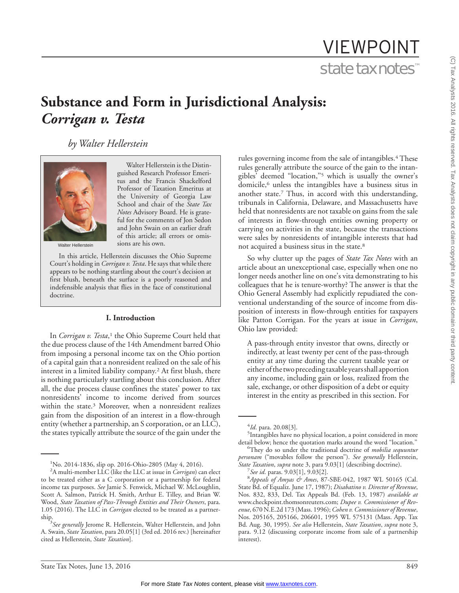# VIEWPOINT state tax notes™

# **Substance and Form in Jurisdictional Analysis:** *Corrigan v. Testa*

Walter Hellerstein is the Distinguished Research Professor Emeritus and the Francis Shackelford Professor of Taxation Emeritus at the University of Georgia Law School and chair of the *State Tax Notes* Advisory Board. He is grateful for the comments of Jon Sedon and John Swain on an earlier draft of this article; all errors or omis-

*by Walter Hellerstein*



Walter Hellerstein

In this article, Hellerstein discusses the Ohio Supreme Court's holding in *Corrigan v. Testa*. He says that while there appears to be nothing startling about the court's decision at first blush, beneath the surface is a poorly reasoned and indefensible analysis that flies in the face of constitutional doctrine.

sions are his own.

#### **I. Introduction**

In *Corrigan v. Testa*,<sup>1</sup> the Ohio Supreme Court held that the due process clause of the 14th Amendment barred Ohio from imposing a personal income tax on the Ohio portion of a capital gain that a nonresident realized on the sale of his interest in a limited liability company.2 At first blush, there is nothing particularly startling about this conclusion. After all, the due process clause confines the states' power to tax nonresidents' income to income derived from sources within the state.3 Moreover, when a nonresident realizes gain from the disposition of an interest in a flow-through entity (whether a partnership, an S corporation, or an LLC), the states typically attribute the source of the gain under the

rules governing income from the sale of intangibles.<sup>4</sup> These rules generally attribute the source of the gain to the intangibles' deemed ''location,''5 which is usually the owner's domicile,<sup>6</sup> unless the intangibles have a business situs in another state.7 Thus, in accord with this understanding, tribunals in California, Delaware, and Massachusetts have held that nonresidents are not taxable on gains from the sale of interests in flow-through entities owning property or carrying on activities in the state, because the transactions were sales by nonresidents of intangible interests that had not acquired a business situs in the state.8

So why clutter up the pages of *State Tax Notes* with an article about an unexceptional case, especially when one no longer needs another line on one's vita demonstrating to his colleagues that he is tenure-worthy? The answer is that the Ohio General Assembly had explicitly repudiated the conventional understanding of the source of income from disposition of interests in flow-through entities for taxpayers like Patton Corrigan. For the years at issue in *Corrigan*, Ohio law provided:

A pass-through entity investor that owns, directly or indirectly, at least twenty per cent of the pass-through entity at any time during the current taxable year or eitherofthetwoprecedingtaxableyearsshallapportion any income, including gain or loss, realized from the sale, exchange, or other disposition of a debt or equity interest in the entity as prescribed in this section. For

<sup>1</sup> No. 2014-1836, slip op. 2016-Ohio-2805 (May 4, 2016).

<sup>2</sup> A multi-member LLC (like the LLC at issue in *Corrigan*) can elect to be treated either as a C corporation or a partnership for federal income tax purposes. *See* Jamie S. Fenwick, Michael W. McLoughlin, Scott A. Salmon, Patrick H. Smith, Arthur E. Tilley, and Brian W. Wood, *State Taxation of Pass-Through Entities and Their Owners*, para. 1.05 (2016). The LLC in *Corrigan* elected to be treated as a partnership.

*See generally* Jerome R. Hellerstein, Walter Hellerstein, and John A. Swain, *State Taxation*, para 20.05[1] (3rd ed. 2016 rev.) [hereinafter cited as Hellerstein, *State Taxation*].

 $^{4}$ *Id*. para. 20.08[3].

<sup>&</sup>lt;sup>5</sup>Intangibles have no physical location, a point considered in more detail below; hence the quotation marks around the word "location."

They do so under the traditional doctrine of *mobilia sequuntur personam* (''movables follow the person''). *See generally* Hellerstein, *State Taxation*, *supra* note 3, para 9.03[1] (describing doctrine). <sup>7</sup>

<sup>&</sup>lt;sup>7</sup> See id. paras. 9.03[1], 9.03[2].

*Appeals of Amyas & Ames*, 87-SBE-042, 1987 WL 50165 (Cal. State Bd. of Equaliz. June 17, 1987); *Disabatino v. Director of Revenue*, Nos. 832, 833, Del. Tax Appeals Bd. (Feb. 13, 1987) *available at* www.checkpoint.thomsonreuters.com; *Dupee v. Commissioner of Revenue*, 670 N.E.2d 173 (Mass. 1996); *Cohen v. Commissioner of Revenue*, Nos. 205165, 205166, 206601, 1995 WL 575131 (Mass. App. Tax Bd. Aug. 30, 1995). *See also* Hellerstein, *State Taxation*, *supra* note 3, para. 9.12 (discussing corporate income from sale of a partnership interest).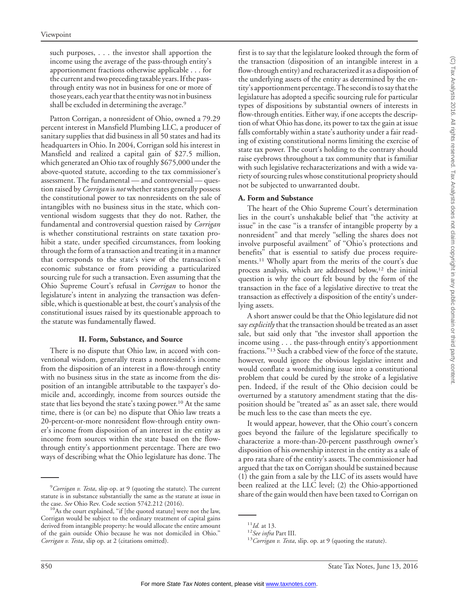such purposes, . . . the investor shall apportion the income using the average of the pass-through entity's apportionment fractions otherwise applicable . . . for the current and two preceding taxable years. If the passthrough entity was not in business for one or more of those years, each year that the entity was not in business shall be excluded in determining the average.<sup>9</sup>

Patton Corrigan, a nonresident of Ohio, owned a 79.29 percent interest in Mansfield Plumbing LLC, a producer of sanitary supplies that did business in all 50 states and had its headquarters in Ohio. In 2004, Corrigan sold his interest in Mansfield and realized a capital gain of \$27.5 million, which generated an Ohio tax of roughly \$675,000 under the above-quoted statute, according to the tax commissioner's assessment. The fundamental — and controversial — question raised by *Corrigan* is *not* whether states generally possess the constitutional power to tax nonresidents on the sale of intangibles with no business situs in the state, which conventional wisdom suggests that they do not. Rather, the fundamental and controversial question raised by *Corrigan* is whether constitutional restraints on state taxation prohibit a state, under specified circumstances, from looking through the form of a transaction and treating it in a manner that corresponds to the state's view of the transaction's economic substance or from providing a particularized sourcing rule for such a transaction. Even assuming that the Ohio Supreme Court's refusal in *Corrigan* to honor the legislature's intent in analyzing the transaction was defensible, which is questionable at best, the court's analysis of the constitutional issues raised by its questionable approach to the statute was fundamentally flawed.

# **II. Form, Substance, and Source**

There is no dispute that Ohio law, in accord with conventional wisdom, generally treats a nonresident's income from the disposition of an interest in a flow-through entity with no business situs in the state as income from the disposition of an intangible attributable to the taxpayer's domicile and, accordingly, income from sources outside the state that lies beyond the state's taxing power.<sup>10</sup> At the same time, there is (or can be) no dispute that Ohio law treats a 20-percent-or-more nonresident flow-through entity owner's income from disposition of an interest in the entity as income from sources within the state based on the flowthrough entity's apportionment percentage. There are two ways of describing what the Ohio legislature has done. The

first is to say that the legislature looked through the form of the transaction (disposition of an intangible interest in a flow-through entity) and recharacterized it as a disposition of the underlying assets of the entity as determined by the entity's apportionment percentage.The second is to say that the legislature has adopted a specific sourcing rule for particular types of dispositions by substantial owners of interests in flow-through entities. Either way, if one accepts the description of what Ohio has done, its power to tax the gain at issue falls comfortably within a state's authority under a fair reading of existing constitutional norms limiting the exercise of state tax power. The court's holding to the contrary should raise eyebrows throughout a tax community that is familiar with such legislative recharacterizations and with a wide variety of sourcing rules whose constitutional propriety should not be subjected to unwarranted doubt.

# **A. Form and Substance**

The heart of the Ohio Supreme Court's determination lies in the court's unshakable belief that ''the activity at issue'' in the case ''is a transfer of intangible property by a nonresident'' and that merely ''selling the shares does not involve purposeful availment'' of ''Ohio's protections and benefits'' that is essential to satisfy due process requirements.11 Wholly apart from the merits of the court's due process analysis, which are addressed below,<sup>12</sup> the initial question is why the court felt bound by the form of the transaction in the face of a legislative directive to treat the transaction as effectively a disposition of the entity's underlying assets.

A short answer could be that the Ohio legislature did not say *explicitly*that the transaction should be treated as an asset sale, but said only that ''the investor shall apportion the income using . . . the pass-through entity's apportionment fractions.''13 Such a crabbed view of the force of the statute, however, would ignore the obvious legislative intent and would conflate a wordsmithing issue into a constitutional problem that could be cured by the stroke of a legislative pen. Indeed, if the result of the Ohio decision could be overturned by a statutory amendment stating that the disposition should be ''treated as'' as an asset sale, there would be much less to the case than meets the eye.

It would appear, however, that the Ohio court's concern goes beyond the failure of the legislature specifically to characterize a more-than-20-percent passthrough owner's disposition of his ownership interest in the entity as a sale of a pro rata share of the entity's assets. The commissioner had argued that the tax on Corrigan should be sustained because (1) the gain from a sale by the LLC of its assets would have been realized at the LLC level; (2) the Ohio-apportioned share of the gain would then have been taxed to Corrigan on

<sup>9</sup> *Corrigan v. Testa*, slip op. at 9 (quoting the statute). The current statute is in substance substantially the same as the statute at issue in

the case. *See* Ohio Rev. Code section 5742.212 (2016).<br><sup>10</sup>As the court explained, "if [the quoted statute] were not the law, Corrigan would be subject to the ordinary treatment of capital gains derived from intangible property: he would allocate the entire amount of the gain outside Ohio because he was not domiciled in Ohio.'' *Corrigan v. Testa*, slip op. at 2 (citations omitted).

<sup>&</sup>lt;sup>11</sup>*Id.* at 13.<br><sup>12</sup>*See infra* Part III.<br><sup>13</sup>*Corrigan v. Testa*, slip. op. at 9 (quoting the statute).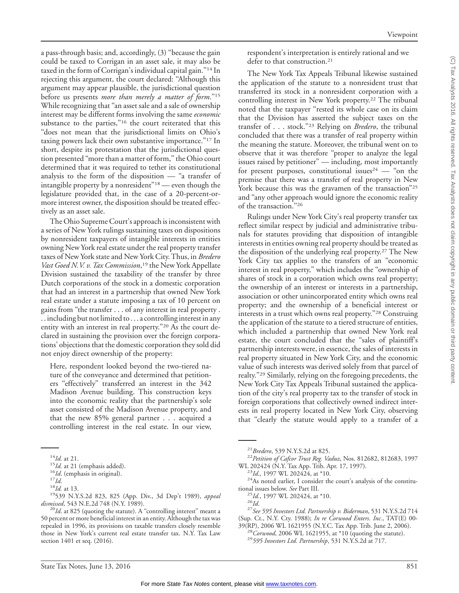a pass-through basis; and, accordingly, (3) ''because the gain could be taxed to Corrigan in an asset sale, it may also be taxed in the form of Corrigan's individual capital gain.''14 In rejecting this argument, the court declared: ''Although this argument may appear plausible, the jurisdictional question before us presents *more than merely a matter of form*.''15 While recognizing that ''an asset sale and a sale of ownership interest may be different forms involving the same *economic* substance to the parties,"<sup>16</sup> the court reiterated that this "does not mean that the jurisdictional limits on Ohio's taxing powers lack their own substantive importance.''17 In short, despite its protestation that the jurisdictional question presented ''more than a matter of form,'' the Ohio court determined that it was required to tether its constitutional analysis to the form of the disposition — ''a transfer of intangible property by a nonresident''18 — even though the legislature provided that, in the case of a 20-percent-ormore interest owner, the disposition should be treated effectively as an asset sale.

The Ohio Supreme Court's approach is inconsistent with a series of New York rulings sustaining taxes on dispositions by nonresident taxpayers of intangible interests in entities owning New York real estate under the real property transfer taxes of New York state and New York City. Thus, in *Bredero Vast Goed N.V. v. Tax Commission*, <sup>19</sup> the New York Appellate Division sustained the taxability of the transfer by three Dutch corporations of the stock in a domestic corporation that had an interest in a partnership that owned New York real estate under a statute imposing a tax of 10 percent on gains from ''the transfer . . . of any interest in real property . . . including but not limited to...a controlling interest in any entity with an interest in real property."<sup>20</sup> As the court declared in sustaining the provision over the foreign corporations' objections that the domestic corporation they sold did not enjoy direct ownership of the property:

Here, respondent looked beyond the two-tiered nature of the conveyance and determined that petitioners ''effectively'' transferred an interest in the 342 Madison Avenue building. This construction keys into the economic reality that the partnership's sole asset consisted of the Madison Avenue property, and that the new 85% general partner... acquired a controlling interest in the real estate. In our view,

respondent's interpretation is entirely rational and we defer to that construction.<sup>21</sup>

The New York Tax Appeals Tribunal likewise sustained the application of the statute to a nonresident trust that transferred its stock in a nonresident corporation with a controlling interest in New York property.<sup>22</sup> The tribunal noted that the taxpayer ''rested its whole case on its claim that the Division has asserted the subject taxes on the transfer of... stock.''23 Relying on *Bredero*, the tribunal concluded that there was a transfer of real property within the meaning the statute. Moreover, the tribunal went on to observe that it was therefore ''proper to analyze the legal issues raised by petitioner'' — including, most importantly for present purposes, constitutional issues<sup>24</sup> — "on the premise that there was a transfer of real property in New York because this was the gravamen of the transaction"<sup>25</sup> and ''any other approach would ignore the economic reality of the transaction.''26

Rulings under New York City's real property transfer tax reflect similar respect by judicial and administrative tribunals for statutes providing that disposition of intangible interests in entities owning real property should be treated as the disposition of the underlying real property.27 The New York City tax applies to the transfers of an "economic interest in real property,'' which includes the ''ownership of shares of stock in a corporation which owns real property; the ownership of an interest or interests in a partnership, association or other unincorporated entity which owns real property; and the ownership of a beneficial interest or interests in a trust which owns real property.''28 Construing the application of the statute to a tiered structure of entities, which included a partnership that owned New York real estate, the court concluded that the ''sales of plaintiff's partnership interests were, in essence, the sales of interests in real property situated in New York City, and the economic value of such interests was derived solely from that parcel of realty.''29 Similarly, relying on the foregoing precedents, the New York City Tax Appeals Tribunal sustained the application of the city's real property tax to the transfer of stock in foreign corporations that collectively owned indirect interests in real property located in New York City, observing that ''clearly the statute would apply to a transfer of a

WL 202424 (N.Y. Tax App. Trib. Apr. 17, 1997).<br><sup>23</sup>*Id.*, 1997 WL 202424, at \*10.<br><sup>24</sup>As noted earlier, I consider the court's analysis of the constitu-

tional issues below. *See* Part III.<br><sup>25</sup>*Id.*, 1997 WL 202424, at \*10.<br><sup>27</sup>*See 595 Investors Ltd. Partnership v. Biderman,* 531 N.Y.S.2d 714 (Sup. Ct., N.Y. Cty. 1988); *In re Corwood Enters. Inc.*, TAT(E) 00-

<sup>28</sup>Corwood, 2006 WL 1621955, at \*10 (quoting the statute). <sup>29</sup>*595 Investors Ltd. Partnership*, 531 N.Y.S.2d at 717.

<sup>&</sup>lt;sup>14</sup>*Id.* at 21. <sup>15</sup>*Id.* at 21 (emphasis added).<br><sup>16</sup>*Id.* (emphasis in original). <sup>17</sup>*Id.* <sup>18</sup>*Id.* at 13. <sup>19</sup>539 N.Y.S.2d 823, 825 (App. Div., 3d Dep't 1989), *appeal dismissed*, 543 N.E.2d 748 (N.Y. 1989).<br><sup>20</sup>*Id*. at 825 (quoting the statute). A "controlling interest" meant a

<sup>50</sup> percent or more beneficial interest in an entity. Although the tax was repealed in 1996, its provisions on taxable transfers closely resemble those in New York's current real estate transfer tax. N.Y. Tax Law section 1401 et seq. (2016).

<sup>21</sup>*Bredero*, 539 N.Y.S.2d at 825. <sup>22</sup>*Petition of Cafcor Trust Reg. Vaduz*, Nos. 812682, 812683, 1997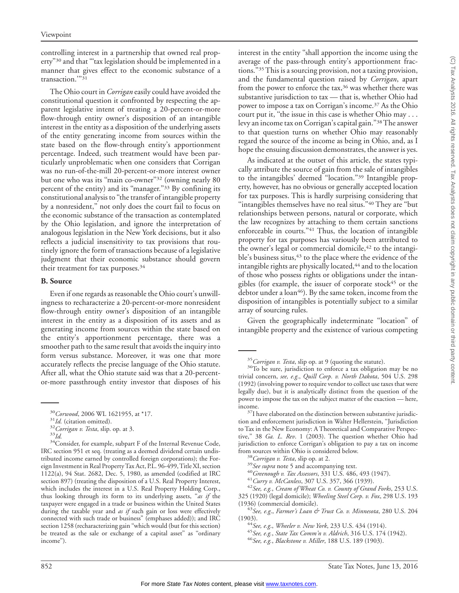controlling interest in a partnership that owned real property"<sup>30</sup> and that "'tax legislation should be implemented in a manner that gives effect to the economic substance of a transaction.'''31

The Ohio court in *Corrigan* easily could have avoided the constitutional question it confronted by respecting the apparent legislative intent of treating a 20-percent-or-more flow-through entity owner's disposition of an intangible interest in the entity as a disposition of the underlying assets of the entity generating income from sources within the state based on the flow-through entity's apportionment percentage. Indeed, such treatment would have been particularly unproblematic when one considers that Corrigan was no run-of-the-mill 20-percent-or-more interest owner but one who was its ''main co-owner''32 (owning nearly 80 percent of the entity) and its "manager."<sup>33</sup> By confining its constitutional analysis to ''the transfer of intangible property by a nonresident,'' not only does the court fail to focus on the economic substance of the transaction as contemplated by the Ohio legislation, and ignore the interpretation of analogous legislation in the New York decisions, but it also reflects a judicial insensitivity to tax provisions that routinely ignore the form of transactions because of a legislative judgment that their economic substance should govern their treatment for tax purposes.<sup>34</sup>

#### **B. Source**

Even if one regards as reasonable the Ohio court's unwillingness to recharacterize a 20-percent-or-more nonresident flow-through entity owner's disposition of an intangible interest in the entity as a disposition of its assets and as generating income from sources within the state based on the entity's apportionment percentage, there was a smoother path to the same result that avoids the inquiry into form versus substance. Moreover, it was one that more accurately reflects the precise language of the Ohio statute. After all, what the Ohio statute said was that a 20-percentor-more passthrough entity investor that disposes of his

<sup>30</sup>*Corwood*, 2006 WL 1621955, at \*17.<br><sup>31</sup>*Id.* (citation omitted).<br><sup>32</sup>*Corrigan v. Testa*, slip. op. at 3.<br><sup>34</sup>*Id.* <sup>34</sup>Consider, for example, subpart F of the Internal Revenue Code, IRC section 951 et seq. (treating as a deemed dividend certain undistributed income earned by controlled foreign corporations); the Foreign Investment in Real PropertyTax Act, P.L. 96-499,Title XI, section 1122(a), 94 Stat. 2682, Dec. 5, 1980, as amended (codified at IRC section 897) (treating the disposition of a U.S. Real Property Interest, which includes the interest in a U.S. Real Property Holding Corp., thus looking through its form to its underlying assets, ''*as if* the taxpayer were engaged in a trade or business within the United States during the taxable year and *as if* such gain or loss were effectively connected with such trade or business'' (emphases added)); and IRC section 1258 (recharacterizing gain ''which would (but for this section) be treated as the sale or exchange of a capital asset" as "ordinary income'').

interest in the entity ''shall apportion the income using the average of the pass-through entity's apportionment fractions.''35This is a sourcing provision, not a taxing provision, and the fundamental question raised by *Corrigan*, apart from the power to enforce the tax,<sup>36</sup> was whether there was substantive jurisdiction to tax — that is, whether Ohio had power to impose a tax on Corrigan's income.37 As the Ohio court put it, "the issue in this case is whether Ohio may . . . levy an income tax on Corrigan's capital gain.''38The answer to that question turns on whether Ohio may reasonably regard the source of the income as being in Ohio, and, as I hope the ensuing discussion demonstrates, the answer is yes.

As indicated at the outset of this article, the states typically attribute the source of gain from the sale of intangibles to the intangibles' deemed "location."<sup>39</sup> Intangible property, however, has no obvious or generally accepted location for tax purposes. This is hardly surprising considering that "intangibles themselves have no real situs."40 They are "but relationships between persons, natural or corporate, which the law recognizes by attaching to them certain sanctions enforceable in courts."<sup>41</sup> Thus, the location of intangible property for tax purposes has variously been attributed to the owner's legal or commercial domicile,  $42$  to the intangible's business situs,<sup>43</sup> to the place where the evidence of the intangible rights are physically located,<sup>44</sup> and to the location of those who possess rights or obligations under the intangibles (for example, the issuer of corporate stock<sup>45</sup> or the debtor under a loan<sup>46</sup>). By the same token, income from the disposition of intangibles is potentially subject to a similar array of sourcing rules.

Given the geographically indeterminate ''location'' of intangible property and the existence of various competing

<sup>&</sup>lt;sup>35</sup>*Corrigan v. Testa*, slip op. at 9 (quoting the statute).<br><sup>36</sup>To be sure, jurisdiction to enforce a tax obligation may be no trivial concern, *see, e.g*., *Quill Corp. v. North Dakota*, 504 U.S. 298 (1992) (involving power to require vendor to collect use taxes that were legally due), but it is analytically distinct from the question of the power to impose the tax on the subject matter of the exaction — here,

income.<br> $37$ I have elaborated on the distinction between substantive jurisdiction and enforcement jurisdiction in Walter Hellerstein, ''Jurisdiction to Tax in the New Economy: A Theoretical and Comparative Perspective,'' 38 *Ga. L. Rev*. 1 (2003). The question whether Ohio had jurisdiction to enforce Corrigan's obligation to pay a tax on income

<sup>&</sup>lt;sup>38</sup> Corrigan v. Testa, slip op. at 2.<br><sup>39</sup> See supra note 5 and accompanying text.<br><sup>40</sup> Greenough v. Tax Assessors, 331 U.S. 486, 493 (1947).<br><sup>41</sup> Curry v. McCanless, 307 U.S. 357, 366 (1939).<br><sup>42</sup> See, e.g., Cream of Wh

<sup>325 (1920) (</sup>legal domicile); *Wheeling Steel Corp. v. Fox*, 298 U.S. 193

<sup>(1936) (</sup>commercial domicile). <sup>43</sup>*See, e.g*., *Farmer's Loan & Trust Co. v. Minnesota*, 280 U.S. 204

<sup>(1903).</sup> <sup>44</sup>*See, e.g*., *Wheeler v. New York*, 233 U.S. 434 (1914). <sup>45</sup>*See, e.g.*, *State Tax Comm'n v. Aldrich*, 316 U.S. 174 (1942). <sup>46</sup>*See, e.g.*, *Blackstone v. Miller*, 188 U.S. 189 (1903).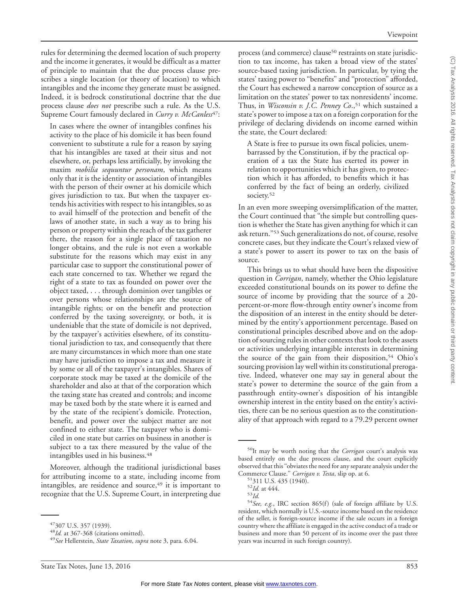rules for determining the deemed location of such property and the income it generates, it would be difficult as a matter of principle to maintain that the due process clause prescribes a single location (or theory of location) to which intangibles and the income they generate must be assigned. Indeed, it is bedrock constitutional doctrine that the due process clause *does not* prescribe such a rule. As the U.S. Supreme Court famously declared in *Curry v. McCanless<sup>47</sup>*:

In cases where the owner of intangibles confines his activity to the place of his domicile it has been found convenient to substitute a rule for a reason by saying that his intangibles are taxed at their situs and not elsewhere, or, perhaps less artificially, by invoking the maxim *mobilia sequuntur personam*, which means only that it is the identity or association of intangibles with the person of their owner at his domicile which gives jurisdiction to tax. But when the taxpayer extends his activities with respect to his intangibles, so as to avail himself of the protection and benefit of the laws of another state, in such a way as to bring his person or property within the reach of the tax gatherer there, the reason for a single place of taxation no longer obtains, and the rule is not even a workable substitute for the reasons which may exist in any particular case to support the constitutional power of each state concerned to tax. Whether we regard the right of a state to tax as founded on power over the object taxed, . . . through dominion over tangibles or over persons whose relationships are the source of intangible rights; or on the benefit and protection conferred by the taxing sovereignty, or both, it is undeniable that the state of domicile is not deprived, by the taxpayer's activities elsewhere, of its constitutional jurisdiction to tax, and consequently that there are many circumstances in which more than one state may have jurisdiction to impose a tax and measure it by some or all of the taxpayer's intangibles. Shares of corporate stock may be taxed at the domicile of the shareholder and also at that of the corporation which the taxing state has created and controls; and income may be taxed both by the state where it is earned and by the state of the recipient's domicile. Protection, benefit, and power over the subject matter are not confined to either state. The taxpayer who is domiciled in one state but carries on business in another is subject to a tax there measured by the value of the intangibles used in his business.48

Moreover, although the traditional jurisdictional bases for attributing income to a state, including income from intangibles, are residence and source, $49$  it is important to recognize that the U.S. Supreme Court, in interpreting due

process (and commerce) clause<sup>50</sup> restraints on state jurisdiction to tax income, has taken a broad view of the states' source-based taxing jurisdiction. In particular, by tying the states' taxing power to ''benefits'' and ''protection'' afforded, the Court has eschewed a narrow conception of source as a limitation on the states' power to tax nonresidents' income. Thus, in *Wisconsin v. J.C. Penney Co.*,<sup>51</sup> which sustained a state's power to impose a tax on a foreign corporation for the privilege of declaring dividends on income earned within the state, the Court declared:

Viewpoint

A State is free to pursue its own fiscal policies, unembarrassed by the Constitution, if by the practical operation of a tax the State has exerted its power in relation to opportunities which it has given, to protection which it has afforded, to benefits which it has conferred by the fact of being an orderly, civilized society.<sup>52</sup>

In an even more sweeping oversimplification of the matter, the Court continued that ''the simple but controlling question is whether the State has given anything for which it can ask return.''53 Such generalizations do not, of course, resolve concrete cases, but they indicate the Court's relaxed view of a state's power to assert its power to tax on the basis of source.

This brings us to what should have been the dispositive question in *Corrigan*, namely, whether the Ohio legislature exceeded constitutional bounds on its power to define the source of income by providing that the source of a 20 percent-or-more flow-through entity owner's income from the disposition of an interest in the entity should be determined by the entity's apportionment percentage. Based on constitutional principles described above and on the adoption of sourcing rules in other contexts that look to the assets or activities underlying intangible interests in determining the source of the gain from their disposition,<sup>54</sup> Ohio's sourcing provision lay well within its constitutional prerogative. Indeed, whatever one may say in general about the state's power to determine the source of the gain from a passthrough entity-owner's disposition of his intangible ownership interest in the entity based on the entity's activities, there can be no serious question as to the constitutionality of that approach with regard to a 79.29 percent owner

<sup>47307</sup> U.S. 357 (1939). <sup>48</sup>*Id.* at 367-368 (citations omitted). <sup>49</sup>*See* Hellerstein, *State Taxation*, *supra* note 3, para. 6.04.

<sup>50</sup>It may be worth noting that the *Corrigan* court's analysis was based entirely on the due process clause, and the court explicitly observed that this "obviates the need for any separate analysis under the<br>Commerce Clause." *Corrigan v. Testa*, slip op. at 6.

<sup>&</sup>lt;sup>51</sup>311 U.S. 435 (1940).<br><sup>52</sup>*Id.* at 444. 53*Id.* 54*See, e.g.*, IRC section 865(f) (sale of foreign affiliate by U.S. resident, which normally is U.S.-source income based on the residence of the seller, is foreign-source income if the sale occurs in a foreign country where the affiliate is engaged in the active conduct of a trade or business and more than 50 percent of its income over the past three years was incurred in such foreign country).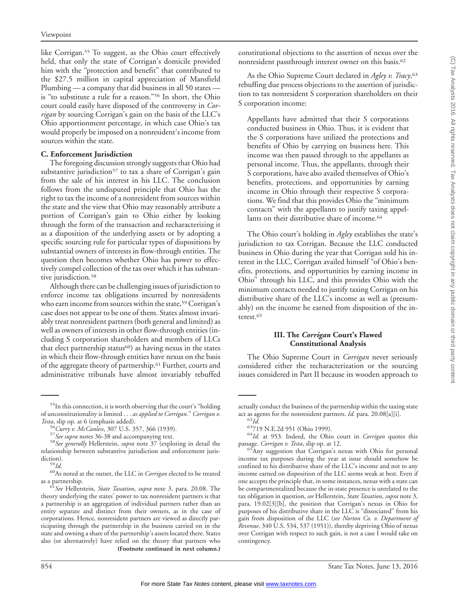like Corrigan.<sup>55</sup> To suggest, as the Ohio court effectively held, that only the state of Corrigan's domicile provided him with the "protection and benefit" that contributed to the \$27.5 million in capital appreciation of Mansfield Plumbing — a company that did business in all 50 states is ''to substitute a rule for a reason.''56 In short, the Ohio court could easily have disposed of the controversy in *Corrigan* by sourcing Corrigan's gain on the basis of the LLC's Ohio apportionment percentage, in which case Ohio's tax would properly be imposed on a nonresident's income from sources within the state.

#### **C. Enforcement Jurisdiction**

The foregoing discussion strongly suggests that Ohio had substantive jurisdiction<sup>57</sup> to tax a share of Corrigan's gain from the sale of his interest in his LLC. The conclusion follows from the undisputed principle that Ohio has the right to tax the income of a nonresident from sources within the state and the view that Ohio may reasonably attribute a portion of Corrigan's gain to Ohio either by looking through the form of the transaction and recharacterizing it as a disposition of the underlying assets or by adopting a specific sourcing rule for particular types of dispositions by substantial owners of interests in flow-through entities. The question then becomes whether Ohio has power to effectively compel collection of the tax over which it has substantive jurisdiction.<sup>58</sup>

Although there can be challenging issues of jurisdiction to enforce income tax obligations incurred by nonresidents who earn income from sources within the state,<sup>59</sup> Corrigan's case does not appear to be one of them. States almost invariably treat nonresident partners (both general and limited) as well as owners of interests in other flow-through entities (including S corporation shareholders and members of LLCs that elect partnership status<sup>60</sup>) as having nexus in the states in which their flow-through entities have nexus on the basis of the aggregate theory of partnership.61 Further, courts and administrative tribunals have almost invariably rebuffed

constitutional objections to the assertion of nexus over the nonresident passthrough interest owner on this basis.62

As the Ohio Supreme Court declared in *Agley v. Tracy*, 63 rebuffing due process objections to the assertion of jurisdiction to tax nonresident S corporation shareholders on their S corporation income:

Appellants have admitted that their S corporations conducted business in Ohio. Thus, it is evident that the S corporations have utilized the protections and benefits of Ohio by carrying on business here. This income was then passed through to the appellants as personal income. Thus, the appellants, through their S corporations, have also availed themselves of Ohio's benefits, protections, and opportunities by earning income in Ohio through their respective S corporations. We find that this provides Ohio the ''minimum contacts'' with the appellants to justify taxing appellants on their distributive share of income.<sup>64</sup>

The Ohio court's holding in *Agley* establishes the state's jurisdiction to tax Corrigan. Because the LLC conducted business in Ohio during the year that Corrigan sold his interest in the LLC, Corrigan availed himself ''of Ohio's benefits, protections, and opportunities by earning income in Ohio'' through his LLC, and this provides Ohio with the minimum contacts needed to justify taxing Corrigan on his distributive share of the LLC's income as well as (presumably) on the income he earned from disposition of the interest.<sup>65</sup>

#### **III. The** *Corrigan* **Court's Flawed Constitutional Analysis**

The Ohio Supreme Court in *Corrigan* never seriously considered either the recharacterization or the sourcing issues considered in Part II because its wooden approach to

<sup>&</sup>lt;sup>55</sup>In this connection, it is worth observing that the court's "holding of unconstitutionality is limited... *as applied to Corrigan.*'' *Corrigan v. Testa*, slip op. at 6 (emphasis added).<br><sup>56</sup> Curry v. McCanless, 307 U.S. 357, 366 (1939).

<sup>&</sup>lt;sup>57</sup> See supra notes 36-38 and accompanying text.<br><sup>58</sup> See generally Hellerstein, *supra* note 37 (exploring in detail the relationship between substantive jurisdiction and enforcement juris-

diction).<br><sup>59</sup>*Id.*<br><sup>60</sup>As noted at the outset, the LLC in *Corrigan* elected to be treated<br>as a partnership.

<sup>&</sup>lt;sup>61</sup> See Hellerstein, State *Taxation, supra* note 3, para. 20.08. The theory underlying the states' power to tax nonresident partners is that a partnership is an aggregation of individual partners rather than an entity separate and distinct from their owners, as in the case of corporations. Hence, nonresident partners are viewed as directly participating through the partnership in the business carried on in the state and owning a share of the partnership's assets located there. States also (or alternatively) have relied on the theory that partners who **(Footnote continued in next column.)**

actually conduct the business of the partnership within the taxing state

act as agents for the nonresident partners. *Id.* para. 20.08[a][i].<br>
<sup>62</sup>*Id.* <sup>63</sup>719 N.E.2d 951 (Ohio 1999).<br>
<sup>64</sup>*Id.* at 953. Indeed, the Ohio court in *Corrigan* quotes this

passage. *Corrigan v. Testa*, slip op. at 12.<br><sup>65</sup>Any suggestion that Corrigan's nexus with Ohio for personal income tax purposes during the year at issue should somehow be confined to his distributive share of the LLC's income and not to any income earned on disposition of the LLC seems weak at best. Even if one accepts the principle that, in some instances, nexus with a state can be compartmentalized because the in-state presence is unrelated to the tax obligation in question, *see* Hellerstein, *State Taxation*, *supra* note 3, para. 19.02[3][b], the position that Corrigan's nexus in Ohio for purposes of his distributive share in the LLC is ''dissociated'' from his gain from disposition of the LLC (*see Norton Co. v. Department of Revenue*, 340 U.S. 534, 537 (1951)), thereby depriving Ohio of nexus over Corrigan with respect to such gain, is not a case I would take on contingency.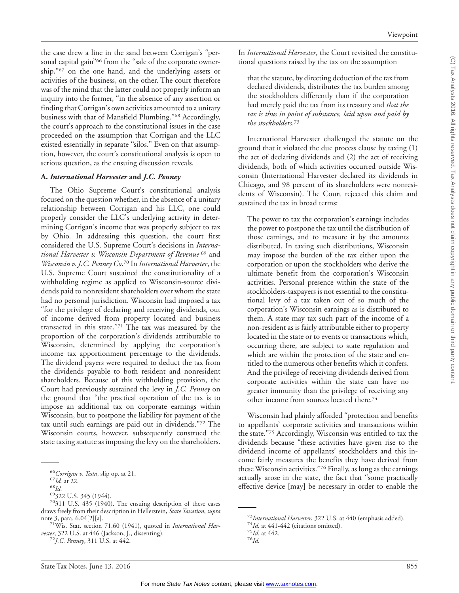the case drew a line in the sand between Corrigan's ''personal capital gain"<sup>66</sup> from the "sale of the corporate ownership,"<sup>67</sup> on the one hand, and the underlying assets or activities of the business, on the other. The court therefore was of the mind that the latter could not properly inform an inquiry into the former, ''in the absence of any assertion or finding that Corrigan's own activities amounted to a unitary business with that of Mansfield Plumbing."<sup>68</sup> Accordingly, the court's approach to the constitutional issues in the case proceeded on the assumption that Corrigan and the LLC existed essentially in separate "silos." Even on that assumption, however, the court's constitutional analysis is open to serious question, as the ensuing discussion reveals.

# **A.** *International Harvester* **and** *J.C. Penney*

The Ohio Supreme Court's constitutional analysis focused on the question whether, in the absence of a unitary relationship between Corrigan and his LLC, one could properly consider the LLC's underlying activity in determining Corrigan's income that was properly subject to tax by Ohio. In addressing this question, the court first considered the U.S. Supreme Court's decisions in *International Harvester v. Wisconsin Department of Revenue* <sup>69</sup> and *Wisconsin v. J.C. Penney Co*. <sup>70</sup> In *International Harvester*, the U.S. Supreme Court sustained the constitutionality of a withholding regime as applied to Wisconsin-source dividends paid to nonresident shareholders over whom the state had no personal jurisdiction. Wisconsin had imposed a tax ''for the privilege of declaring and receiving dividends, out of income derived from property located and business transacted in this state." $71$  The tax was measured by the proportion of the corporation's dividends attributable to Wisconsin, determined by applying the corporation's income tax apportionment percentage to the dividends. The dividend payers were required to deduct the tax from the dividends payable to both resident and nonresident shareholders. Because of this withholding provision, the Court had previously sustained the levy in *J.C. Penney* on the ground that ''the practical operation of the tax is to impose an additional tax on corporate earnings within Wisconsin, but to postpone the liability for payment of the tax until such earnings are paid out in dividends.''72 The Wisconsin courts, however, subsequently construed the state taxing statute as imposing the levy on the shareholders.

that the statute, by directing deduction of the tax from declared dividends, distributes the tax burden among the stockholders differently than if the corporation had merely paid the tax from its treasury and *that the tax is thus in point of substance, laid upon and paid by the stockholders*. 73

International Harvester challenged the statute on the ground that it violated the due process clause by taxing (1) the act of declaring dividends and (2) the act of receiving dividends, both of which activities occurred outside Wisconsin (International Harvester declared its dividends in Chicago, and 98 percent of its shareholders were nonresidents of Wisconsin). The Court rejected this claim and sustained the tax in broad terms:

The power to tax the corporation's earnings includes the power to postpone the tax until the distribution of those earnings, and to measure it by the amounts distributed. In taxing such distributions, Wisconsin may impose the burden of the tax either upon the corporation or upon the stockholders who derive the ultimate benefit from the corporation's Wisconsin activities. Personal presence within the state of the stockholders-taxpayers is not essential to the constitutional levy of a tax taken out of so much of the corporation's Wisconsin earnings as is distributed to them. A state may tax such part of the income of a non-resident as is fairly attributable either to property located in the state or to events or transactions which, occurring there, are subject to state regulation and which are within the protection of the state and entitled to the numerous other benefits which it confers. And the privilege of receiving dividends derived from corporate activities within the state can have no greater immunity than the privilege of receiving any other income from sources located there.74

Wisconsin had plainly afforded ''protection and benefits to appellants' corporate activities and transactions within the state.''75 Accordingly, Wisconsin was entitled to tax the dividends because ''these activities have given rise to the dividend income of appellants' stockholders and this income fairly measures the benefits they have derived from these Wisconsin activities.''76 Finally, as long as the earnings actually arose in the state, the fact that ''some practically effective device [may] be necessary in order to enable the

<sup>&</sup>lt;sup>66</sup>Corrigan v. Testa, slip op. at 21.<br><sup>67</sup>*Id.* at 22.<br><sup>68</sup>*Id.* 69322 U.S. 345 (1944).<br><sup>70</sup>311 U.S. 435 (1940). The ensuing description of these cases draws freely from their description in Hellerstein, *State Taxation*, *supra* note 3, para. 6.04[2][a]. 71Wis. Stat. section 71.60 (1941), quoted in *International Har-*

*vester*, 322 U.S. at 446 (Jackson, J., dissenting). <sup>72</sup>*J.C. Penney*, 311 U.S. at 442.

<sup>73</sup>*International Harvester*, 322 U.S. at 440 (emphasis added). <sup>74</sup>*Id*. at 441-442 (citations omitted). <sup>75</sup>*Id.* at 442. <sup>76</sup>*Id*.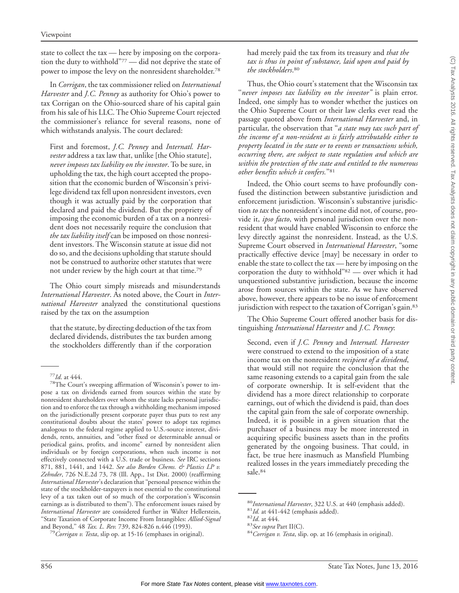state to collect the tax — here by imposing on the corporation the duty to withhold''77 — did not deprive the state of power to impose the levy on the nonresident shareholder.78

In *Corrigan*, the tax commissioner relied on *International Harvester* and *J.C. Penney* as authority for Ohio's power to tax Corrigan on the Ohio-sourced share of his capital gain from his sale of his LLC. The Ohio Supreme Court rejected the commissioner's reliance for several reasons, none of which withstands analysis. The court declared:

First and foremost, *J.C. Penney* and *Internatl. Harvester* address a tax law that, unlike [the Ohio statute], *never imposes tax liability on the investor*. To be sure, in upholding the tax, the high court accepted the proposition that the economic burden of Wisconsin's privilege dividend tax fell upon nonresident investors, even though it was actually paid by the corporation that declared and paid the dividend. But the propriety of imposing the economic burden of a tax on a nonresident does not necessarily require the conclusion that *the tax liability itself* can be imposed on those nonresident investors. The Wisconsin statute at issue did not do so, and the decisions upholding that statute should not be construed to authorize other statutes that were not under review by the high court at that time.79

The Ohio court simply misreads and misunderstands *International Harvester*. As noted above, the Court in *International Harvester* analyzed the constitutional questions raised by the tax on the assumption

that the statute, by directing deduction of the tax from declared dividends, distributes the tax burden among the stockholders differently than if the corporation had merely paid the tax from its treasury and *that the tax is thus in point of substance, laid upon and paid by the stockholders*. 80

Thus, the Ohio court's statement that the Wisconsin tax "never imposes tax liability on the investor" is plain error. Indeed, one simply has to wonder whether the justices on the Ohio Supreme Court or their law clerks ever read the passage quoted above from *International Harvester* and, in particular, the observation that ''*a state may tax such part of the income of a non-resident as is fairly attributable either to property located in the state or to events or transactions which, occurring there, are subject to state regulation and which are within the protection of the state and entitled to the numerous other benefits which it confers.*''81

Indeed, the Ohio court seems to have profoundly confused the distinction between substantive jurisdiction and enforcement jurisdiction. Wisconsin's substantive jurisdiction *to tax* the nonresident's income did not, of course, provide it, *ipso facto*, with personal jurisdiction over the nonresident that would have enabled Wisconsin to enforce the levy directly against the nonresident. Instead, as the U.S. Supreme Court observed in *International Harvester*, ''some practically effective device [may] be necessary in order to enable the state to collect the tax — here by imposing on the corporation the duty to withhold"<sup>82</sup> — over which it had unquestioned substantive jurisdiction, because the income arose from sources within the state. As we have observed above, however, there appears to be no issue of enforcement jurisdiction with respect to the taxation of Corrigan's gain.<sup>83</sup>

The Ohio Supreme Court offered another basis for distinguishing *International Harvester* and *J.C. Penney*:

Second, even if *J.C. Penney* and *Internatl. Harvester* were construed to extend to the imposition of a state income tax on the nonresident *recipient of a dividend*, that would still not require the conclusion that the same reasoning extends to a capital gain from the sale of corporate ownership. It is self-evident that the dividend has a more direct relationship to corporate earnings, out of which the dividend is paid, than does the capital gain from the sale of corporate ownership. Indeed, it is possible in a given situation that the purchaser of a business may be more interested in acquiring specific business assets than in the profits generated by the ongoing business. That could, in fact, be true here inasmuch as Mansfield Plumbing realized losses in the years immediately preceding the sale.84

<sup>&</sup>lt;sup>77</sup>*Id*. at 444.<br><sup>78</sup>The Court's sweeping affirmation of Wisconsin's power to impose a tax on dividends earned from sources within the state by nonresident shareholders over whom the state lacks personal jurisdiction and to enforce the tax through a withholding mechanism imposed on the jurisdictionally present corporate payer thus puts to rest any constitutional doubts about the states' power to adopt tax regimes analogous to the federal regime applied to U.S.-source interest, dividends, rents, annuities, and ''other fixed or determinable annual or periodical gains, profits, and income'' earned by nonresident alien individuals or by foreign corporations, when such income is not effectively connected with a U.S. trade or business. *See* IRC sections 871, 881, 1441, and 1442. *See also Borden Chems. & Plastics LP v. Zehnder*, 726 N.E.2d 73, 78 (Ill. App., 1st Dist. 2000) (reaffirming *International Harvester*'s declaration that ''personal presence within the state of the stockholder-taxpayers is not essential to the constitutional levy of a tax taken out of so much of the corporation's Wisconsin earnings as is distributed to them''). The enforcement issues raised by *International Harvester* are considered further in Walter Hellerstein, ''State Taxation of Corporate Income From Intangibles: *Allied-Signal*

<sup>&</sup>lt;sup>79</sup> Corrigan v. Testa, slip op. at 15-16 (emphases in original).

<sup>&</sup>lt;sup>80</sup>International Harvester, 322 U.S. at 440 (emphasis added).<br><sup>81</sup>Id. at 441-442 (emphasis added).<br><sup>82</sup>Id. at 444.<br><sup>83</sup>*See supra* Part II(C).<br><sup>84</sup>Corrigan v. Testa, slip. op. at 16 (emphasis in original).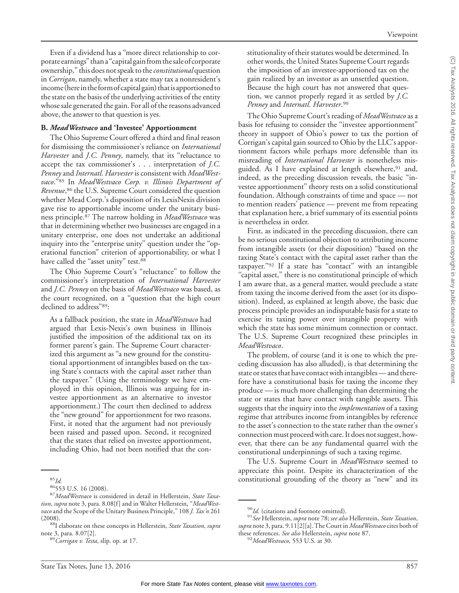Even if a dividend has a ''more direct relationship to corporate earnings" than a "capital gain from the sale of corporate ownership,'' this does not speak to the*constitutional* question in *Corrigan*, namely, whether a state may tax a nonresident's income (here in the form of capital gain) that is apportioned to the state on the basis of the underlying activities of the entity whose sale generated the gain. For all of the reasons advanced above, the answer to that question is yes.

# **B.** *MeadWestvaco* **and 'Investee' Apportionment**

The Ohio Supreme Court offered a third and final reason for dismissing the commissioner's reliance on *International Harvester* and *J.C. Penney*, namely, that its ''reluctance to accept the tax commissioner's... interpretation of *J.C. Penney* and *Internatl. Harvester* is consistent with *MeadWestvaco*.''85 In *MeadWestvaco Corp. v. Illinois Department of Revenue*, <sup>86</sup> the U.S. Supreme Court considered the question whether Mead Corp.'s disposition of its LexisNexis division gave rise to apportionable income under the unitary business principle.87 The narrow holding in *MeadWestvaco* was that in determining whether two businesses are engaged in a unitary enterprise, one does not undertake an additional inquiry into the ''enterprise unity'' question under the ''operational function'' criterion of apportionability, or what I have called the "asset unity" test.<sup>88</sup>

The Ohio Supreme Court's ''reluctance'' to follow the commissioner's interpretation of *International Harvester* and *J.C. Penney* on the basis of *MeadWestvaco* was based, as the court recognized, on a ''question that the high court declined to address''89:

As a fallback position, the state in *MeadWestvaco* had argued that Lexis-Nexis's own business in Illinois justified the imposition of the additional tax on its former parent's gain. The Supreme Court characterized this argument as ''a new ground for the constitutional apportionment of intangibles based on the taxing State's contacts with the capital asset rather than the taxpayer.'' (Using the terminology we have employed in this opinion, Illinois was arguing for investee apportionment as an alternative to investor apportionment.) The court then declined to address the ''new ground'' for apportionment for two reasons. First, it noted that the argument had not previously been raised and passed upon. Second, it recognized that the states that relied on investee apportionment, including Ohio, had not been notified that the constitutionality of their statutes would be determined. In other words, the United States Supreme Court regards the imposition of an investee-apportioned tax on the gain realized by an investor as an unsettled question. Because the high court has not answered that question, we cannot properly regard it as settled by *J.C. Penney* and *Internatl. Harvester*. 90

The Ohio Supreme Court's reading of *MeadWestvaco* as a basis for refusing to consider the ''investee apportionment'' theory in support of Ohio's power to tax the portion of Corrigan's capital gain sourced to Ohio by the LLC's apportionment factors while perhaps more defensible than its misreading of *International Harvester* is nonetheless misguided. As I have explained at length elsewhere,<sup>91</sup> and, indeed, as the preceding discussion reveals, the basic ''investee apportionment'' theory rests on a solid constitutional foundation. Although constraints of time and space — not to mention readers' patience — prevent me from repeating that explanation here, a brief summary of its essential points is nevertheless in order.

First, as indicated in the preceding discussion, there can be no serious constitutional objection to attributing income from intangible assets (or their disposition) ''based on the taxing State's contact with the capital asset rather than the taxpayer.''92 If a state has ''contact'' with an intangible "capital asset," there is no constitutional principle of which I am aware that, as a general matter, would preclude a state from taxing the income derived from the asset (or its disposition). Indeed, as explained at length above, the basic due process principle provides an indisputable basis for a state to exercise its taxing power over intangible property with which the state has some minimum connection or contact. The U.S. Supreme Court recognized these principles in *MeadWestvaco*.

The problem, of course (and it is one to which the preceding discussion has also alluded), is that determining the state or states that have contact with intangibles — and therefore have a constitutional basis for taxing the income they produce — is much more challenging than determining the state or states that have contact with tangible assets. This suggests that the inquiry into the *implementation* of a taxing regime that attributes income from intangibles by reference to the asset's connection to the state rather than the owner's connection must proceed with care. It does not suggest, however, that there can be any fundamental quarrel with the constitutional underpinnings of such a taxing regime.

The U.S. Supreme Court in *MeadWestvaco* seemed to appreciate this point. Despite its characterization of the <sup>85</sup> constitutional grounding of the theory as ''new'' and its *Id.* 86553 U.S. 16 (2008). <sup>87</sup>*MeadWestvaco* is considered in detail in Hellerstein, *State Taxa-*

*tion*, *supra* note 3, para. 8.08[f] and in Walter Hellerstein, ''*MeadWestvaco* and the Scope of the Unitary Business Principle,'' 108 *J. Tax'n* 261

<sup>(2008).</sup> 88I elaborate on these concepts in Hellerstein, *State Taxation*, *supra* note 3, para. 8.07[2]. <sup>89</sup>*Corrigan v. Testa*, slip. op. at 17.

<sup>90</sup>*Id.* (citations and footnote omitted). <sup>91</sup>*See* Hellerstein, *supra* note 78; *see also* Hellerstein, *State Taxation*, *supra* note 3, para. 9.11[2][a].The Court in *MeadWestvaco* cites both of these references. *See also* Hellerstein, *supra* note 87. <sup>92</sup>*MeadWestvaco*, 553 U.S. at 30.